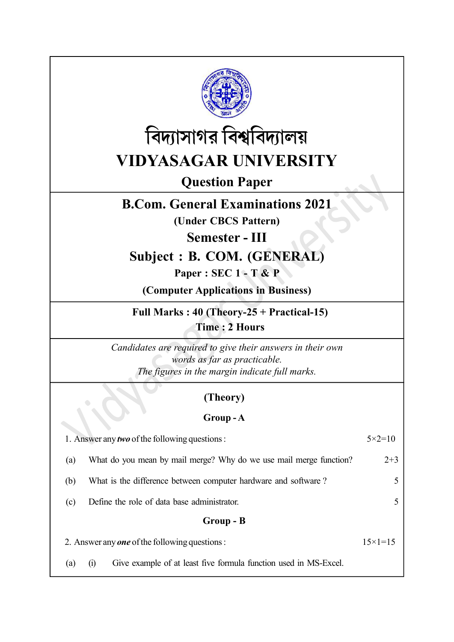



Question Paper

# B.Com. General Examinations 2021

(Under CBCS Pattern)

Semester - III

# Subject : B. COM. (GENERAL)

Paper : SEC 1 - T & P

(Computer Applications in Business)

Full Marks : 40 (Theory-25 + Practical-15) Time : 2 Hours

Candidates are required to give their answers in their own words as far as practicable. The figures in the margin indicate full marks.

## (Theory)

## Group - A

| 1. Answer any <i>two</i> of the following questions : |                                                                                       | $5 \times 2 = 10$  |
|-------------------------------------------------------|---------------------------------------------------------------------------------------|--------------------|
| (a)                                                   | What do you mean by mail merge? Why do we use mail merge function?                    | $2 + 3$            |
| (b)                                                   | What is the difference between computer hardware and software?                        |                    |
| (c)                                                   | Define the role of data base administrator.                                           |                    |
|                                                       | Group - B                                                                             |                    |
| 2. Answer any <i>one</i> of the following questions : |                                                                                       | $15 \times 1 = 15$ |
| (a)                                                   | Give example of at least five formula function used in MS-Excel.<br>$\left( i\right)$ |                    |